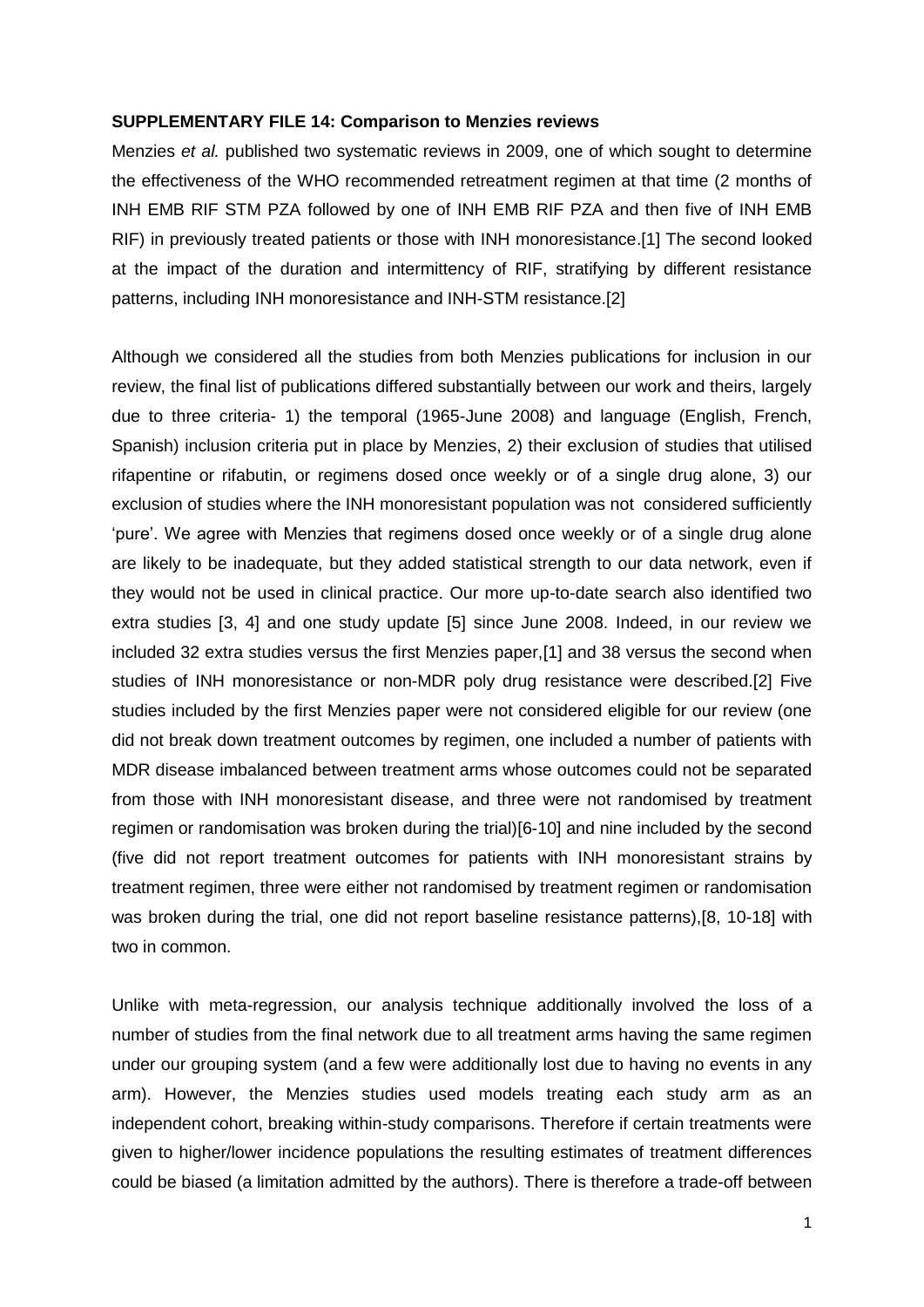## **SUPPLEMENTARY FILE 14: Comparison to Menzies reviews**

Menzies *et al.* published two systematic reviews in 2009, one of which sought to determine the effectiveness of the WHO recommended retreatment regimen at that time (2 months of INH EMB RIF STM PZA followed by one of INH EMB RIF PZA and then five of INH EMB RIF) in previously treated patients or those with INH monoresistance.[1] The second looked at the impact of the duration and intermittency of RIF, stratifying by different resistance patterns, including INH monoresistance and INH-STM resistance.[2]

Although we considered all the studies from both Menzies publications for inclusion in our review, the final list of publications differed substantially between our work and theirs, largely due to three criteria- 1) the temporal (1965-June 2008) and language (English, French, Spanish) inclusion criteria put in place by Menzies, 2) their exclusion of studies that utilised rifapentine or rifabutin, or regimens dosed once weekly or of a single drug alone, 3) our exclusion of studies where the INH monoresistant population was not considered sufficiently 'pure'. We agree with Menzies that regimens dosed once weekly or of a single drug alone are likely to be inadequate, but they added statistical strength to our data network, even if they would not be used in clinical practice. Our more up-to-date search also identified two extra studies [3, 4] and one study update [5] since June 2008. Indeed, in our review we included 32 extra studies versus the first Menzies paper,[1] and 38 versus the second when studies of INH monoresistance or non-MDR poly drug resistance were described.[2] Five studies included by the first Menzies paper were not considered eligible for our review (one did not break down treatment outcomes by regimen, one included a number of patients with MDR disease imbalanced between treatment arms whose outcomes could not be separated from those with INH monoresistant disease, and three were not randomised by treatment regimen or randomisation was broken during the trial)[6-10] and nine included by the second (five did not report treatment outcomes for patients with INH monoresistant strains by treatment regimen, three were either not randomised by treatment regimen or randomisation was broken during the trial, one did not report baseline resistance patterns),[8, 10-18] with two in common.

Unlike with meta-regression, our analysis technique additionally involved the loss of a number of studies from the final network due to all treatment arms having the same regimen under our grouping system (and a few were additionally lost due to having no events in any arm). However, the Menzies studies used models treating each study arm as an independent cohort, breaking within-study comparisons. Therefore if certain treatments were given to higher/lower incidence populations the resulting estimates of treatment differences could be biased (a limitation admitted by the authors). There is therefore a trade-off between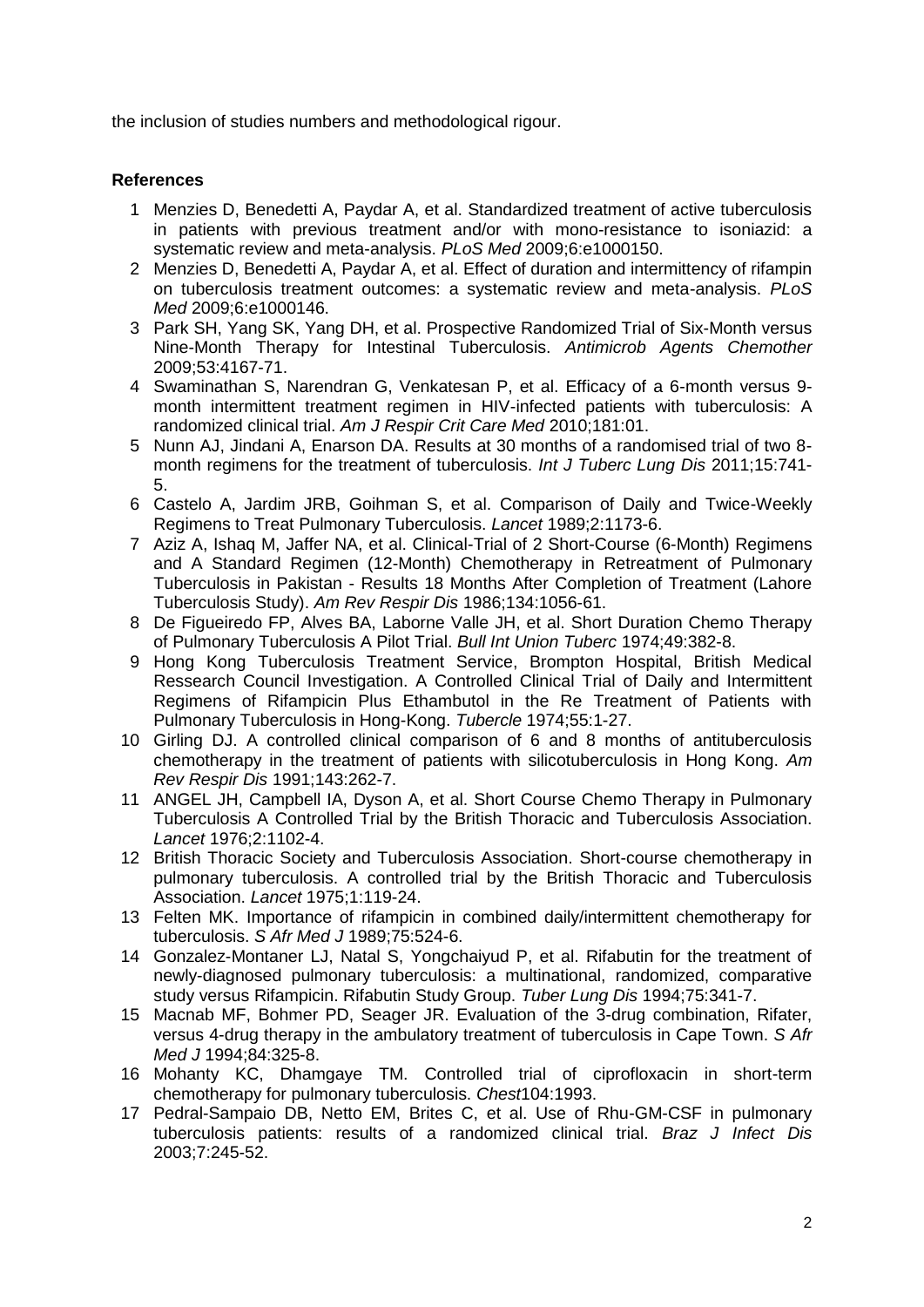the inclusion of studies numbers and methodological rigour.

## **References**

- 1 Menzies D, Benedetti A, Paydar A, et al. Standardized treatment of active tuberculosis in patients with previous treatment and/or with mono-resistance to isoniazid: a systematic review and meta-analysis. *PLoS Med* 2009;6:e1000150.
- 2 Menzies D, Benedetti A, Paydar A, et al. Effect of duration and intermittency of rifampin on tuberculosis treatment outcomes: a systematic review and meta-analysis. *PLoS Med* 2009;6:e1000146.
- 3 Park SH, Yang SK, Yang DH, et al. Prospective Randomized Trial of Six-Month versus Nine-Month Therapy for Intestinal Tuberculosis. *Antimicrob Agents Chemother* 2009;53:4167-71.
- 4 Swaminathan S, Narendran G, Venkatesan P, et al. Efficacy of a 6-month versus 9 month intermittent treatment regimen in HIV-infected patients with tuberculosis: A randomized clinical trial. *Am J Respir Crit Care Med* 2010;181:01.
- 5 Nunn AJ, Jindani A, Enarson DA. Results at 30 months of a randomised trial of two 8 month regimens for the treatment of tuberculosis. *Int J Tuberc Lung Dis* 2011;15:741- 5.
- 6 Castelo A, Jardim JRB, Goihman S, et al. Comparison of Daily and Twice-Weekly Regimens to Treat Pulmonary Tuberculosis. *Lancet* 1989;2:1173-6.
- 7 Aziz A, Ishaq M, Jaffer NA, et al. Clinical-Trial of 2 Short-Course (6-Month) Regimens and A Standard Regimen (12-Month) Chemotherapy in Retreatment of Pulmonary Tuberculosis in Pakistan - Results 18 Months After Completion of Treatment (Lahore Tuberculosis Study). *Am Rev Respir Dis* 1986;134:1056-61.
- 8 De Figueiredo FP, Alves BA, Laborne Valle JH, et al. Short Duration Chemo Therapy of Pulmonary Tuberculosis A Pilot Trial. *Bull Int Union Tuberc* 1974;49:382-8.
- 9 Hong Kong Tuberculosis Treatment Service, Brompton Hospital, British Medical Ressearch Council Investigation. A Controlled Clinical Trial of Daily and Intermittent Regimens of Rifampicin Plus Ethambutol in the Re Treatment of Patients with Pulmonary Tuberculosis in Hong-Kong. *Tubercle* 1974;55:1-27.
- 10 Girling DJ. A controlled clinical comparison of 6 and 8 months of antituberculosis chemotherapy in the treatment of patients with silicotuberculosis in Hong Kong. *Am Rev Respir Dis* 1991;143:262-7.
- 11 ANGEL JH, Campbell IA, Dyson A, et al. Short Course Chemo Therapy in Pulmonary Tuberculosis A Controlled Trial by the British Thoracic and Tuberculosis Association. *Lancet* 1976;2:1102-4.
- 12 British Thoracic Society and Tuberculosis Association. Short-course chemotherapy in pulmonary tuberculosis. A controlled trial by the British Thoracic and Tuberculosis Association. *Lancet* 1975;1:119-24.
- 13 Felten MK. Importance of rifampicin in combined daily/intermittent chemotherapy for tuberculosis. *S Afr Med J* 1989;75:524-6.
- 14 Gonzalez-Montaner LJ, Natal S, Yongchaiyud P, et al. Rifabutin for the treatment of newly-diagnosed pulmonary tuberculosis: a multinational, randomized, comparative study versus Rifampicin. Rifabutin Study Group. *Tuber Lung Dis* 1994;75:341-7.
- 15 Macnab MF, Bohmer PD, Seager JR. Evaluation of the 3-drug combination, Rifater, versus 4-drug therapy in the ambulatory treatment of tuberculosis in Cape Town. *S Afr Med J* 1994;84:325-8.
- 16 Mohanty KC, Dhamgaye TM. Controlled trial of ciprofloxacin in short-term chemotherapy for pulmonary tuberculosis. *Chest*104:1993.
- 17 Pedral-Sampaio DB, Netto EM, Brites C, et al. Use of Rhu-GM-CSF in pulmonary tuberculosis patients: results of a randomized clinical trial. *Braz J Infect Dis* 2003;7:245-52.